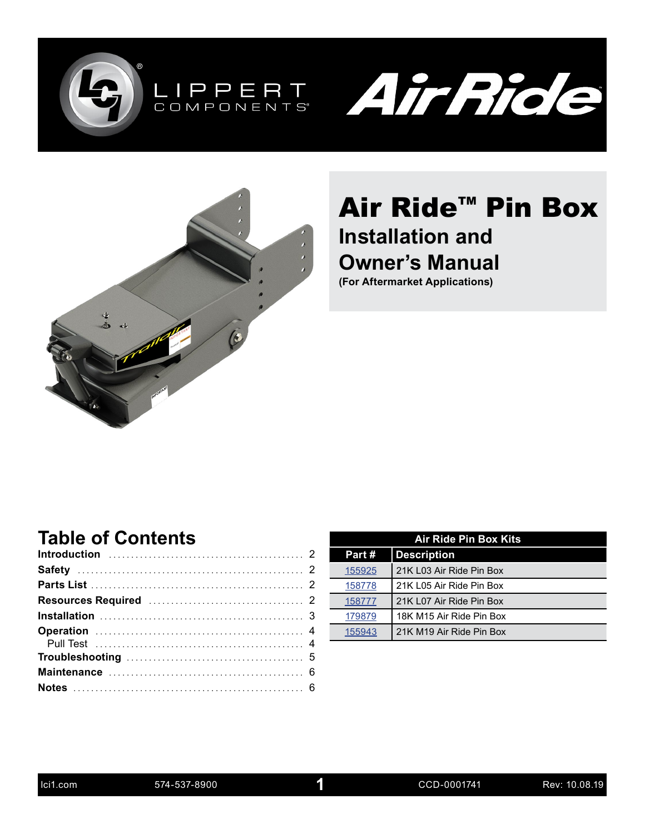





# Air Ride<sup>™</sup> Pin Box **Installation and Owner's Manual**

**(For Aftermarket Applications)**

#### **Table of Contents**

| <b>Air Ride Pin Box Kits</b> |                          |  |  |  |  |  |
|------------------------------|--------------------------|--|--|--|--|--|
| Part#                        | <b>Description</b>       |  |  |  |  |  |
| 155925                       | 21K L03 Air Ride Pin Box |  |  |  |  |  |
| 158778                       | 21K L05 Air Ride Pin Box |  |  |  |  |  |
| 158777                       | 21K L07 Air Ride Pin Box |  |  |  |  |  |
| 179879                       | 18K M15 Air Ride Pin Box |  |  |  |  |  |
| 155943                       | 21K M19 Air Ride Pin Box |  |  |  |  |  |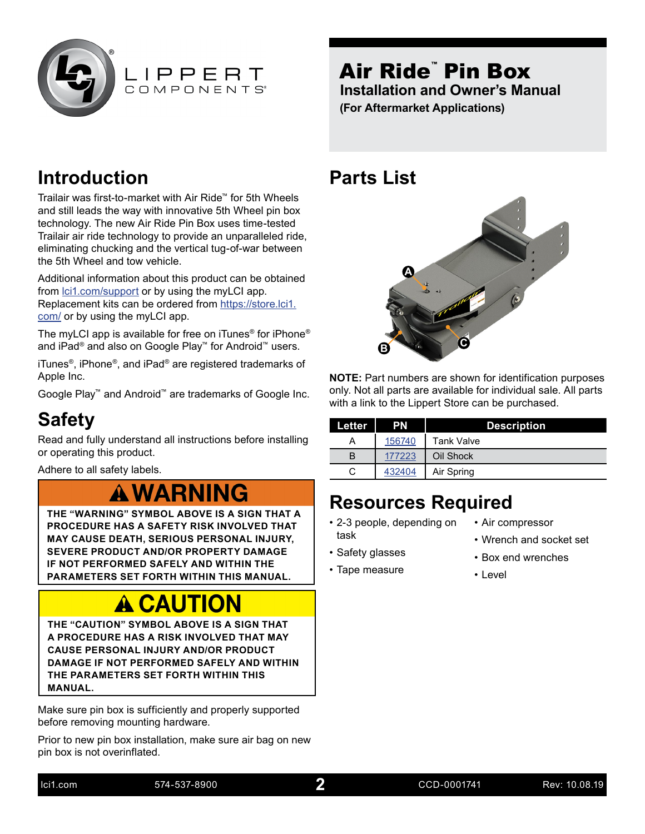<span id="page-1-0"></span>



**Introduction**

Trailair was first-to-market with Air Ride™ for 5th Wheels and still leads the way with innovative 5th Wheel pin box technology. The new Air Ride Pin Box uses time-tested Trailair air ride technology to provide an unparalleled ride, eliminating chucking and the vertical tug-of-war between the 5th Wheel and tow vehicle.

Additional information about this product can be obtained from [lci1.com/support](https://www.lci1.com/support/) or by using the myLCI app. Replacement kits can be ordered from [https://store.lci1.](https://store.lci1.com/) [com/](https://store.lci1.com/) or by using the myLCI app.

The myLCI app is available for free on iTunes® for iPhone® and iPad® and also on Google Play™ for Android™ users.

iTunes®, iPhone®, and iPad® are registered trademarks of Apple Inc.

Google Play™ and Android™ are trademarks of Google Inc.

#### **Safety**

Read and fully understand all instructions before installing or operating this product.

Adhere to all safety labels.

## **A WARNING**

**THE "WARNING" SYMBOL ABOVE IS A SIGN THAT A PROCEDURE HAS A SAFETY RISK INVOLVED THAT MAY CAUSE DEATH, SERIOUS PERSONAL INJURY, SEVERE PRODUCT AND/OR PROPERTY DAMAGE IF NOT PERFORMED SAFELY AND WITHIN THE PARAMETERS SET FORTH WITHIN THIS MANUAL.**

# **A CAUTION**

**THE "CAUTION" SYMBOL ABOVE IS A SIGN THAT A PROCEDURE HAS A RISK INVOLVED THAT MAY CAUSE PERSONAL INJURY AND/OR PRODUCT DAMAGE IF NOT PERFORMED SAFELY AND WITHIN THE PARAMETERS SET FORTH WITHIN THIS MANUAL.**

Make sure pin box is sufficiently and properly supported before removing mounting hardware.

Prior to new pin box installation, make sure air bag on new pin box is not overinflated.

#### **Parts List**



**NOTE:** Part numbers are shown for identification purposes only. Not all parts are available for individual sale. All parts with a link to the Lippert Store can be purchased.

| Letter | <b>PN</b> | <b>Description</b> |
|--------|-----------|--------------------|
|        | 156740    | <b>Tank Valve</b>  |
| В      | 177223    | Oil Shock          |
| C      | 432404    | Air Spring         |

#### **Resources Required**

- 2-3 people, depending on task
- Air compressor
- Wrench and socket set
- Safety glasses
- Tape measure
- Box end wrenches
- Level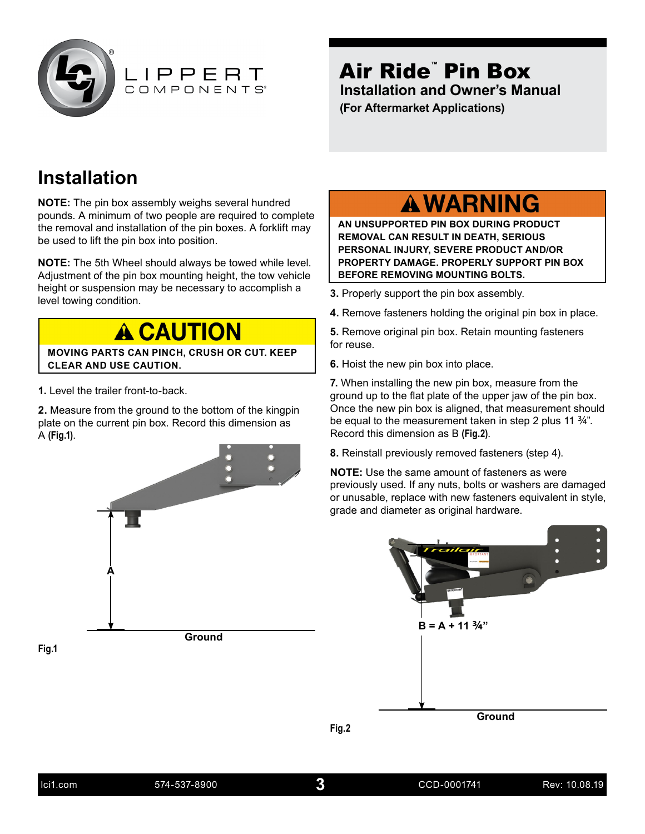<span id="page-2-0"></span>

#### **Installation**

**NOTE:** The pin box assembly weighs several hundred pounds. A minimum of two people are required to complete the removal and installation of the pin boxes. A forklift may be used to lift the pin box into position.

**NOTE:** The 5th Wheel should always be towed while level. Adjustment of the pin box mounting height, the tow vehicle height or suspension may be necessary to accomplish a leight of susperision may be necessary to accomplism a **3.** Properly support the pin box assembly.<br>level towing condition.

**A CAUTION** 

**MOVING PARTS CAN PINCH, CRUSH OR CUT. KEEP CLEAR AND USE CAUTION.**

**1.** Level the trailer front-to-back.

**2.** Measure from the ground to the bottom of the kingpin plate on the current pin box. Record this dimension as A **(Fig.1)**.



#### **A WARNING**

**AN UNSUPPORTED PIN BOX DURING PRODUCT REMOVAL CAN RESULT IN DEATH, SERIOUS PERSONAL INJURY, SEVERE PRODUCT AND/OR PROPERTY DAMAGE. PROPERLY SUPPORT PIN BOX BEFORE REMOVING MOUNTING BOLTS.**

- 
- **4.** Remove fasteners holding the original pin box in place.

**5.** Remove original pin box. Retain mounting fasteners for reuse.

**6.** Hoist the new pin box into place.

**7.** When installing the new pin box, measure from the ground up to the flat plate of the upper jaw of the pin box. Once the new pin box is aligned, that measurement should be equal to the measurement taken in step 2 plus 11  $\frac{3}{4}$ ". Record this dimension as B **(Fig.2)**.

**8.** Reinstall previously removed fasteners (step 4).

**NOTE:** Use the same amount of fasteners as were previously used. If any nuts, bolts or washers are damaged or unusable, replace with new fasteners equivalent in style, grade and diameter as original hardware.

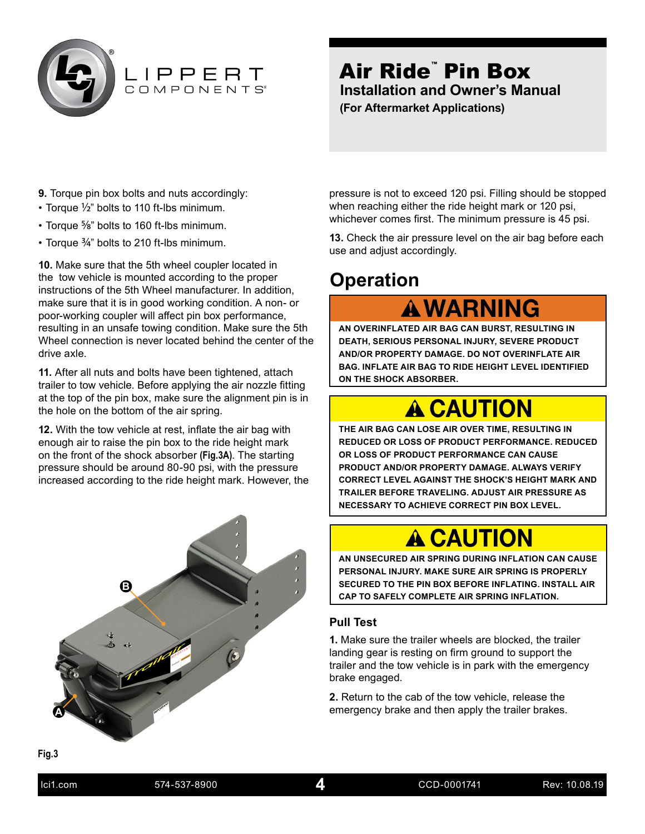<span id="page-3-0"></span>

# LIPPERT

#### Air Ride™ Pin Box **Installation and Owner's Manual (For Aftermarket Applications)**

- **9.** Torque pin box bolts and nuts accordingly:
- Torque 1/2" bolts to 110 ft-lbs minimum.
- Torque 5/8" bolts to 160 ft-lbs minimum.
- Torque 3/4" bolts to 210 ft-lbs minimum.

**10.** Make sure that the 5th wheel coupler located in the tow vehicle is mounted according to the proper instructions of the 5th Wheel manufacturer. In addition, make sure that it is in good working condition. A non- or poor-working coupler will affect pin box performance, resulting in an unsafe towing condition. Make sure the 5th Wheel connection is never located behind the center of the drive axle.

**11.** After all nuts and bolts have been tightened, attach trailer to tow vehicle. Before applying the air nozzle fitting at the top of the pin box, make sure the alignment pin is in the hole on the bottom of the air spring.

**12.** With the tow vehicle at rest, inflate the air bag with enough air to raise the pin box to the ride height mark on the front of the shock absorber **(Fig.3A)**. The starting pressure should be around 80-90 psi, with the pressure increased according to the ride height mark. However, the



pressure is not to exceed 120 psi. Filling should be stopped when reaching either the ride height mark or 120 psi, whichever comes first. The minimum pressure is 45 psi.

**13.** Check the air pressure level on the air bag before each use and adjust accordingly.

#### **Operation**

**A WARNING** 

**AN OVERINFLATED AIR BAG CAN BURST, RESULTING IN DEATH, SERIOUS PERSONAL INJURY, SEVERE PRODUCT AND/OR PROPERTY DAMAGE. DO NOT OVERINFLATE AIR BAG. INFLATE AIR BAG TO RIDE HEIGHT LEVEL IDENTIFIED ON THE SHOCK ABSORBER.**

# **A CAUTION**

**THE AIR BAG CAN LOSE AIR OVER TIME, RESULTING IN REDUCED OR LOSS OF PRODUCT PERFORMANCE. REDUCED OR LOSS OF PRODUCT PERFORMANCE CAN CAUSE PRODUCT AND/OR PROPERTY DAMAGE. ALWAYS VERIFY CORRECT LEVEL AGAINST THE SHOCK'S HEIGHT MARK AND TRAILER BEFORE TRAVELING. ADJUST AIR PRESSURE AS NECESSARY TO ACHIEVE CORRECT PIN BOX LEVEL.**

# **A CAUTION**

**AN UNSECURED AIR SPRING DURING INFLATION CAN CAUSE PERSONAL INJURY. MAKE SURE AIR SPRING IS PROPERLY SECURED TO THE PIN BOX BEFORE INFLATING. INSTALL AIR CAP TO SAFELY COMPLETE AIR SPRING INFLATION.**

#### **Pull Test**

**1.** Make sure the trailer wheels are blocked, the trailer landing gear is resting on firm ground to support the trailer and the tow vehicle is in park with the emergency brake engaged.

**2.** Return to the cab of the tow vehicle, release the emergency brake and then apply the trailer brakes.

**Fig.3**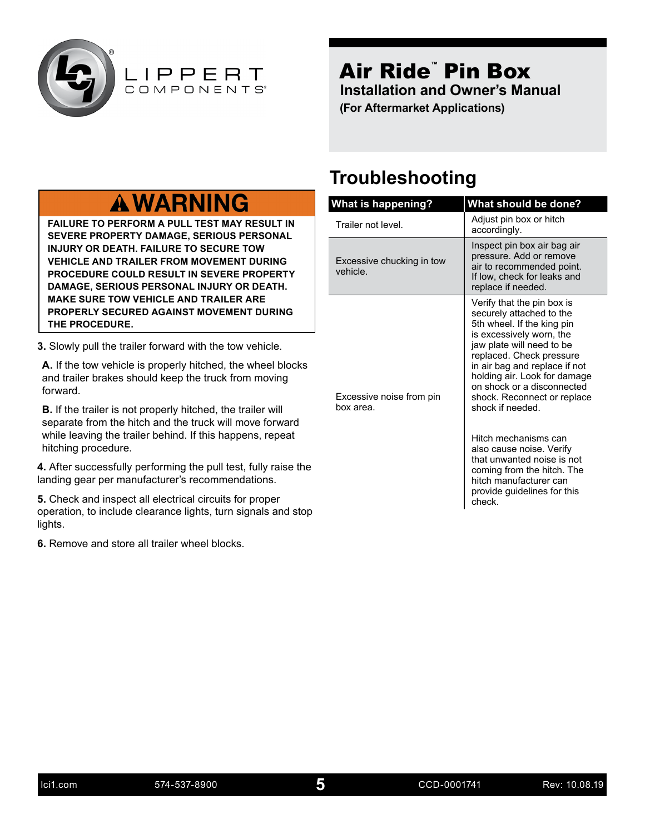<span id="page-4-0"></span>

LIPPERT

#### Air Ride™ Pin Box **Installation and Owner's Manual (For Aftermarket Applications)**

### **A WARNING**

**FAILURE TO PERFORM A PULL TEST MAY RESULT IN SEVERE PROPERTY DAMAGE, SERIOUS PERSONAL INJURY OR DEATH. FAILURE TO SECURE TOW VEHICLE AND TRAILER FROM MOVEMENT DURING PROCEDURE COULD RESULT IN SEVERE PROPERTY DAMAGE, SERIOUS PERSONAL INJURY OR DEATH. MAKE SURE TOW VEHICLE AND TRAILER ARE PROPERLY SECURED AGAINST MOVEMENT DURING THE PROCEDURE.**

**3.** Slowly pull the trailer forward with the tow vehicle.

**A.** If the tow vehicle is properly hitched, the wheel blocks and trailer brakes should keep the truck from moving forward.

**B.** If the trailer is not properly hitched, the trailer will separate from the hitch and the truck will move forward while leaving the trailer behind. If this happens, repeat hitching procedure.

**4.** After successfully performing the pull test, fully raise the landing gear per manufacturer's recommendations.

**5.** Check and inspect all electrical circuits for proper operation, to include clearance lights, turn signals and stop lights.

**6.** Remove and store all trailer wheel blocks.

#### **Troubleshooting**

| What is happening?                    | What should be done?                                                                                                                                                                                                                                                                                                        |  |  |  |  |  |  |  |
|---------------------------------------|-----------------------------------------------------------------------------------------------------------------------------------------------------------------------------------------------------------------------------------------------------------------------------------------------------------------------------|--|--|--|--|--|--|--|
| Trailer not level.                    | Adjust pin box or hitch<br>accordingly.                                                                                                                                                                                                                                                                                     |  |  |  |  |  |  |  |
| Excessive chucking in tow<br>vehicle. | Inspect pin box air bag air<br>pressure. Add or remove<br>air to recommended point.<br>If low, check for leaks and<br>replace if needed.                                                                                                                                                                                    |  |  |  |  |  |  |  |
| Excessive noise from pin<br>box area. | Verify that the pin box is<br>securely attached to the<br>5th wheel. If the king pin<br>is excessively worn, the<br>jaw plate will need to be<br>replaced. Check pressure<br>in air bag and replace if not<br>holding air. Look for damage<br>on shock or a disconnected<br>shock. Reconnect or replace<br>shock if needed. |  |  |  |  |  |  |  |
|                                       | Hitch mechanisms can<br>also cause noise. Verify<br>that unwanted noise is not<br>coming from the hitch. The<br>hitch manufacturer can<br>provide guidelines for this<br>check.                                                                                                                                             |  |  |  |  |  |  |  |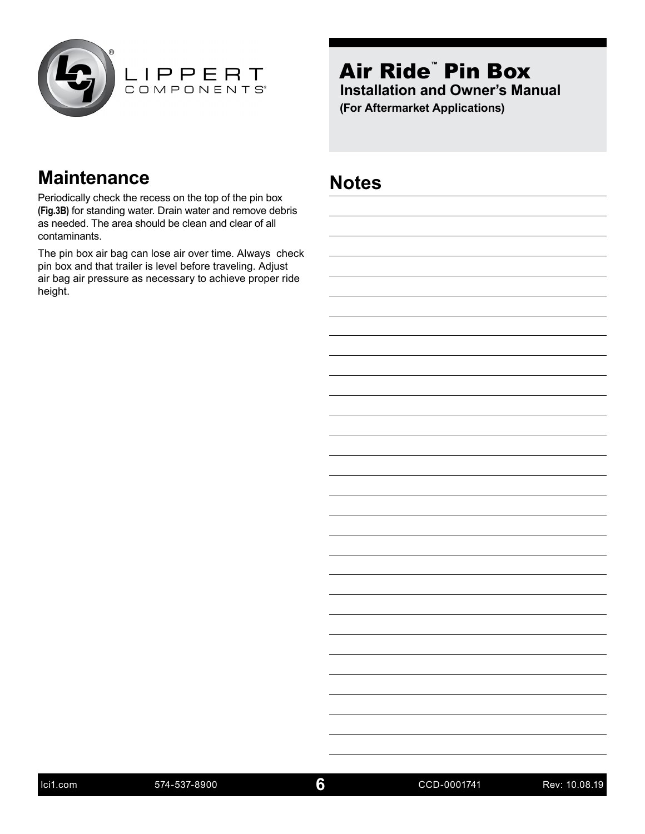<span id="page-5-0"></span>



#### **Maintenance Notes**

Periodically check the recess on the top of the pin box **(Fig.3B)** for standing water. Drain water and remove debris as needed. The area should be clean and clear of all contaminants.

The pin box air bag can lose air over time. Always check pin box and that trailer is level before traveling. Adjust air bag air pressure as necessary to achieve proper ride height.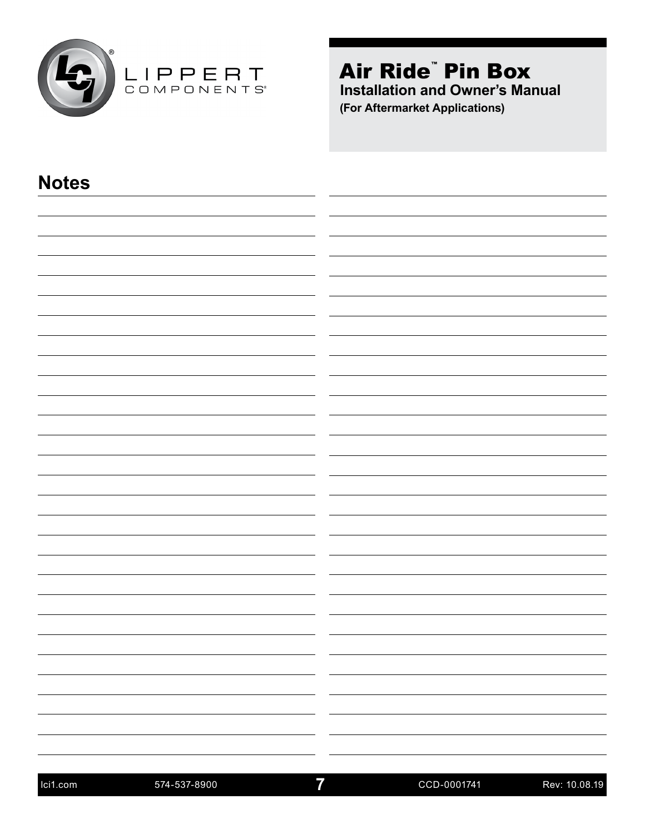

| <b>Notes</b> |                                                                                                                                       |
|--------------|---------------------------------------------------------------------------------------------------------------------------------------|
|              |                                                                                                                                       |
|              |                                                                                                                                       |
|              |                                                                                                                                       |
|              |                                                                                                                                       |
|              |                                                                                                                                       |
|              |                                                                                                                                       |
|              |                                                                                                                                       |
|              |                                                                                                                                       |
|              |                                                                                                                                       |
|              |                                                                                                                                       |
|              |                                                                                                                                       |
|              |                                                                                                                                       |
|              |                                                                                                                                       |
|              |                                                                                                                                       |
|              |                                                                                                                                       |
|              |                                                                                                                                       |
|              |                                                                                                                                       |
|              |                                                                                                                                       |
|              |                                                                                                                                       |
|              |                                                                                                                                       |
|              |                                                                                                                                       |
|              |                                                                                                                                       |
|              | <u> 1989 - Andrea Andrew Maria (h. 1989).</u><br>1905 - Andrew Maria (h. 1906).<br><u> 1989 - Johann Barn, amerikansk politiker (</u> |
|              |                                                                                                                                       |
|              |                                                                                                                                       |
|              |                                                                                                                                       |
|              | $\sim$                                                                                                                                |
| —————————    | -                                                                                                                                     |
|              |                                                                                                                                       |